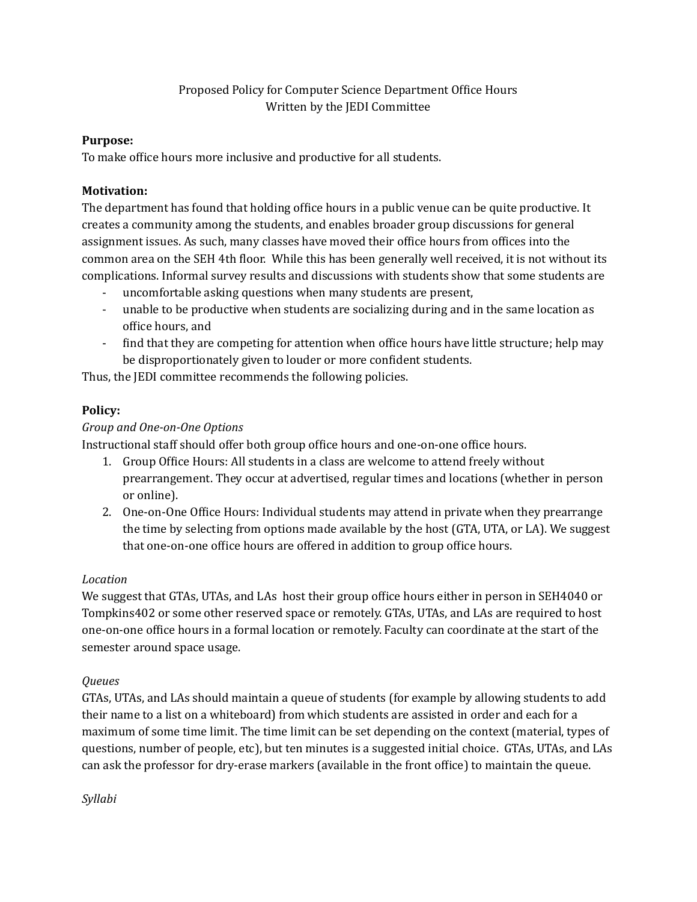### Proposed Policy for Computer Science Department Ofice Hours Written by the JEDI Committee

#### **Purpose:**

To make ofice hours more inclusive and productive for all students.

#### **Motivation:**

The department has found that holding ofice hours in a public venue can be quite productive. It creates a community among the students, and enables broader group discussions for general assignment issues. As such, many classes have moved their ofice hours from ofices into the common area on the SEH 4th loor. While this has been generally well received, it is not without its complications. Informal survey results and discussions with students show that some students are

- uncomfortable asking questions when many students are present,
- unable to be productive when students are socializing during and in the same location as ofice hours, and
- find that they are competing for attention when office hours have little structure; help may be disproportionately given to louder or more conident students.

Thus, the JEDI committee recommends the following policies.

# **Policy:**

### *Group and One-on-One Options*

Instructional staff should offer both group ofice hours and one-on-one ofice hours.

- 1. Group Ofice Hours: All students in a class are welcome to attend freely without prearrangement. They occur at advertised, regular times and locations (whether in person or online).
- 2. One-on-One Ofice Hours: Individual students may attend in private when they prearrange the time by selecting from options made available by the host (GTA, UTA, or LA). We suggest that one-on-one ofice hours are offered in addition to group ofice hours.

# *Location*

We suggest that GTAs, UTAs, and LAs host their group ofice hours either in person in SEH4040 or Tompkins402 or some other reserved space or remotely. GTAs, UTAs, and LAs are required to host one-on-one ofice hours in a formal location or remotely. Faculty can coordinate at the start of the semester around space usage.

# *Queues*

GTAs, UTAs, and LAs should maintain a queue of students (for example by allowing students to add their name to a list on a whiteboard) from which students are assisted in order and each for a maximum of some time limit. The time limit can be set depending on the context (material, types of questions, number of people, etc), but ten minutes is a suggested initial choice. GTAs, UTAs, and LAs can ask the professor for dry-erase markers (available in the front ofice) to maintain the queue.

*Syllabi*